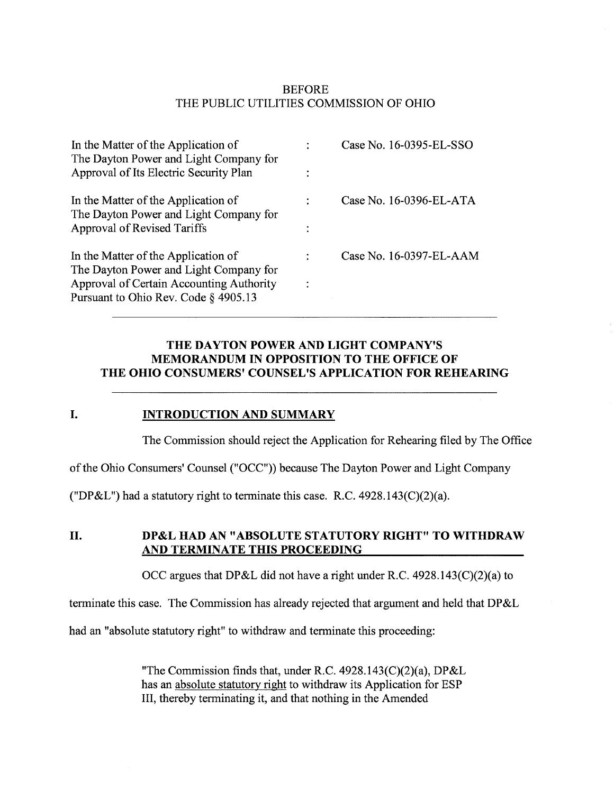## BEFORE THE PUBLIC UTILITIES COMMISSION OF OHIO

| In the Matter of the Application of<br>The Dayton Power and Light Company for    | Case No. 16-0395-EL-SSO |
|----------------------------------------------------------------------------------|-------------------------|
| Approval of Its Electric Security Plan                                           |                         |
| In the Matter of the Application of<br>The Dayton Power and Light Company for    | Case No. 16-0396-EL-ATA |
| Approval of Revised Tariffs                                                      |                         |
| In the Matter of the Application of<br>The Dayton Power and Light Company for    | Case No. 16-0397-EL-AAM |
| Approval of Certain Accounting Authority<br>Pursuant to Ohio Rev. Code § 4905.13 |                         |

## THE DAYTON POWER AND LIGHT COMPANY'S MEMORANDUM IN OPPOSITION TO THE OFFICE OF THE OHIO CONSUMERS' COUNSEL'S APPLICATION FOR REHEARING

#### I. INTRODUCTION AND SUMMARY

The Commission should reject the Application for Rehearing filed by The Office

of the Ohio Consumers' Counsel ("OCC")) because The Dayton Power and Light Company

("DP&L") had a statutory right to terminate this case. R.C.  $4928.143(C)(2)(a)$ .

II. DP&L HAD AN "ABSOLUTE STATUTORY RIGHT" TO WITHDRAW AND TERMINATE THIS PROCEEDING

OCC argues that DP&L did not have a right under R.C. 4928.143(C)(2)(a) to

terminate this case. The Commission has already rejected that argument and held that DP&L

had an "absolute statutory right" to withdraw and terminate this proceeding:

"The Commission finds that, under R.C. 4928.143(C)(2)(a), DP&L has an absolute statutory right to withdraw its Application for ESP III, thereby terminating it, and that nothing in the Amended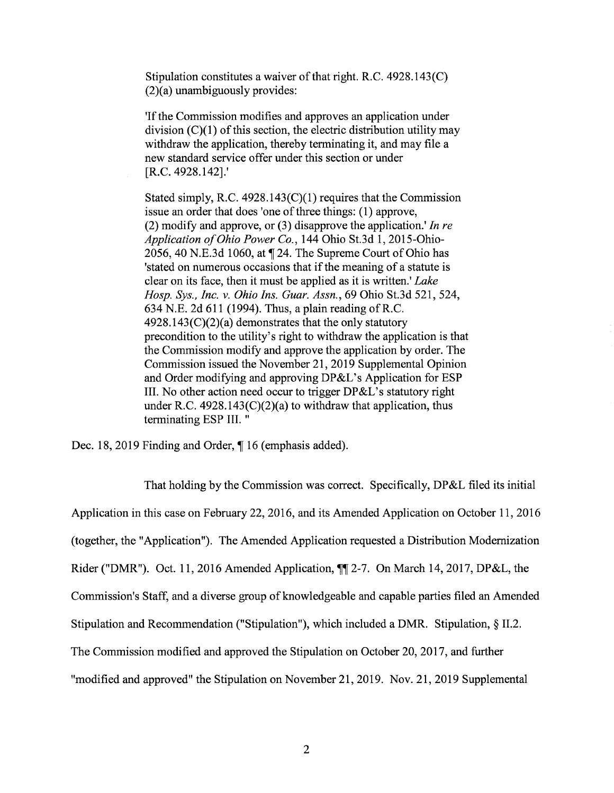Stipulation constitutes a waiver of that right. R.C. 4928.143(C) (2)(a) unambiguously provides:

'If the Commission modifies and approves an application under division  $(C)(1)$  of this section, the electric distribution utility may withdraw the application, thereby terminating it, and may file a new standard service offer under this section or under [R.C. 4928.142].'

Stated simply, R.C. 4928.143(C)(1) requires that the Commission issue an order that does 'one of three things: (1) approve, (2) modify and approve, or  $(3)$  disapprove the application.' In re Application of Ohio Power Co., 144 Ohio St.3d 1, 2015-Ohio-2056, 40 N.E.3d 1060, at ¶ 24. The Supreme Court of Ohio has 'stated on numerous occasions that if the meaning of a statute is clear on its face, then it must be applied as it is written.' Lake Hosp. Sys., Inc. v. Ohio Ins. Guar. Assn., 69 Ohio St.3d 521, 524, 634 N.E. 2d 611 (1994). Thus, a plain reading of R.C.  $4928.143(C)(2)(a)$  demonstrates that the only statutory precondition to the utility's right to withdraw the application is that the Commission modify and approve the application by order. The Commission issued the November 21, 2019 Supplemental Opinion and Order modifying and approving DP&L's Application for ESP III. No other action need occur to trigger DP&L's statutory right under R.C.  $4928.143(C)(2)(a)$  to withdraw that application, thus terminating ESP III. "

Dec. 18, 2019 Finding and Order, ¶ 16 (emphasis added).

That holding by the Commission was correct. Specifically, DP&L filed its initial Application in this case on February 22, 2016, and its Amended Application on October 11, 2016 (together, the "Application"). The Amended Application requested a Distribution Modernization Rider ("DMR"). Oct. 11, 2016 Amended Application, ¶¶ 2-7. On March 14, 2017, DP&L, the Commission's Staff, and a diverse group of knowledgeable and capable parties filed an Amended Stipulation and Recommendation ("Stipulation"), which included a DMR. Stipulation, § 11.2. The Commission modified and approved the Stipulation on October 20, 2017, and further

"modified and approved" the Stipulation on November 21, 2019. Nov. 21, 2019 Supplemental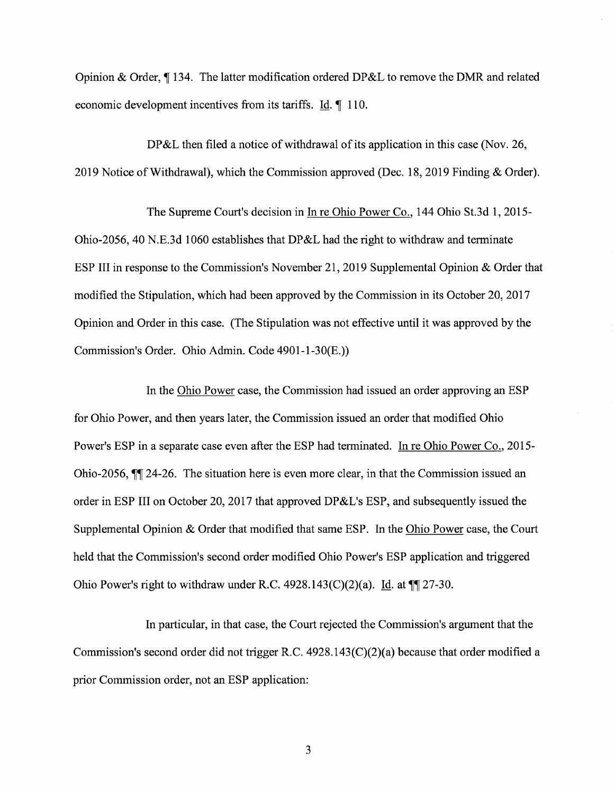Opinion & Order, ¶ 134. The latter modification ordered DP&L to remove the DMR and related economic development incentives from its tariffs. Id. 110.

DP&L then filed a notice of withdrawal of its application in this case (Nov. 26, 2019 Notice of Withdrawal), which the Commission approved (Dec. 18, 2019 Finding & Order).

The Supreme Court's decision in In re Ohio Power Co., 144 Ohio St.3d 1, 2015- Ohio-2056, 40 N.E.3d 1060 establishes that DP&L had the right to withdraw and terminate ESP III in response to the Commission's November 21, 2019 Supplemental Opinion & Order that modified the Stipulation, which had been approved by the Commission in its October 20, 2017 Opinion and Order in this case. (The Stipulation was not effective until it was approved by the Commission's Order. Ohio Admin. Code 4901-1-30(E.))

In the Ohio Power case, the Commission had issued an order approving an ESP for Ohio Power, and then years later, the Commission issued an order that modified Ohio Power's ESP in a separate case even after the ESP had terminated. In re Ohio Power Co., 2015-Ohio-2056,  $\P$  24-26. The situation here is even more clear, in that the Commission issued an order in ESP III on October 20, 2017 that approved DP&L's ESP, and subsequently issued the Supplemental Opinion & Order that modified that same ESP. In the Ohio Power case, the Court held that the Commission's second order modified Ohio Power's ESP application and triggered Ohio Power's right to withdraw under R.C. 4928.143(C)(2)(a). Id. at  $\P$ [27-30.

In particular, in that case, the Court rejected the Commission's argument that the Commission's second order did not trigger R.C. 4928.143(C)(2)(a) because that order modified a prior Commission order, not an ESP application: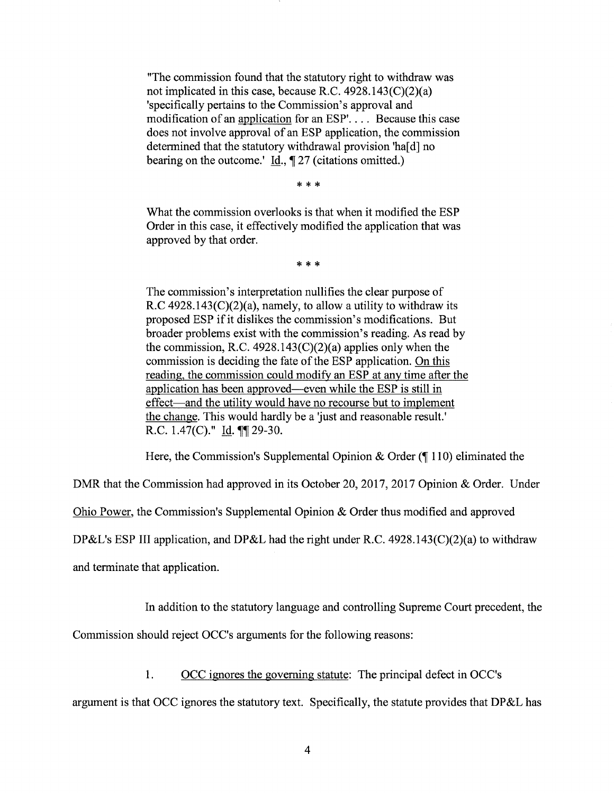"The commission found that the statutory right to withdraw was not implicated in this case, because R.C. 4928.143(C)(2)(a) 'specifically pertains to the Commission's approval and modification of an application for an ESP'. . . . Because this case does not involve approval of an ESP application, the commission determined that the statutory withdrawal provision 'ha[d] no bearing on the outcome.' Id.,  $\P$  27 (citations omitted.)

\* \* \*

What the commission overlooks is that when it modified the ESP Order in this case, it effectively modified the application that was approved by that order.

\* \* \*

The commission's interpretation nullifies the clear purpose of R.C  $4928.143(C)(2)(a)$ , namely, to allow a utility to withdraw its proposed ESP if it dislikes the commission's modifications. But broader problems exist with the commission's reading. As read by the commission, R.C. 4928.143 $(C)(2)(a)$  applies only when the commission is deciding the fate of the ESP application. On this reading, the commission could modify an ESP at any time after the application has been approved—even while the ESP is still in effect—and the utility would have no recourse but to implement the change. This would hardly be a 'just and reasonable result.' R.C. 1.47(C)." Id. ¶[ 29-30.

Here, the Commission's Supplemental Opinion & Order ( $\parallel$  110) eliminated the

DMR that the Commission had approved in its October 20, 2017, 2017 Opinion & Order. Under

Ohio Power, the Commission's Supplemental Opinion & Order thus modified and approved

DP&L's ESP III application, and DP&L had the right under R.C. 4928.143(C)(2)(a) to withdraw

and terminate that application.

In addition to the statutory language and controlling Supreme Court precedent, the

Commission should reject OCC's arguments for the following reasons:

1. OCC ignores the governing statute: The principal defect in OCC's

argument is that OCC ignores the statutory text. Specifically, the statute provides that DP&L has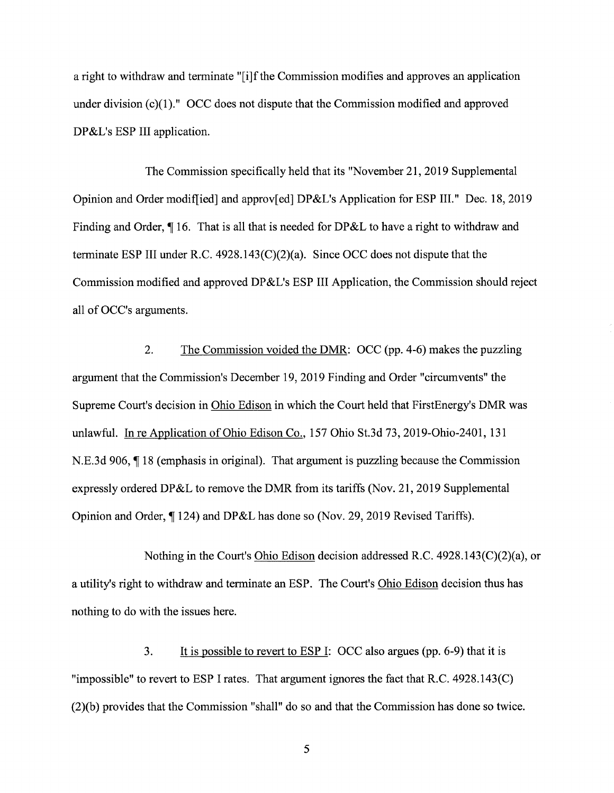a right to withdraw and terminate "[i]f the Commission modifies and approves an application under division (c)(1)." OCC does not dispute that the Commission modified and approved DP&L's ESP III application.

The Commission specifically held that its "November 21, 2019 Supplemental Opinion and Order modified] and approv[ed] DP&L's Application for ESP III." Dec. 18, 2019 Finding and Order,  $\P$  16. That is all that is needed for DP&L to have a right to withdraw and terminate ESP III under R.C. 4928.143(C)(2)(a). Since OCC does not dispute that the Commission modified and approved DP&L's ESP III Application, the Commission should reject all of OCC's arguments.

2. The Commission voided the DMR: OCC (pp. 4-6) makes the puzzling argument that the Commission's December 19, 2019 Finding and Order "circumvents" the Supreme Court's decision in Ohio Edison in which the Court held that FirstEnergy's DMR was unlawful. In re Application of Ohio Edison Co., 157 Ohio St.3d 73, 2019-Ohio-2401, 131 N.E.3d 906, ¶ 18 (emphasis in original). That argument is puzzling because the Commission expressly ordered DP&L to remove the DMR from its tariffs (Nov. 21, 2019 Supplemental Opinion and Order, ¶ 124) and DP&L has done so (Nov. 29, 2019 Revised Tariffs).

Nothing in the Court's Ohio Edison decision addressed R.C. 4928.143(C)(2)(a), or a utility's right to withdraw and terminate an ESP. The Court's Ohio Edison decision thus has nothing to do with the issues here.

3. It is possible to revert to ESP I: OCC also argues (pp. 6-9) that it is "impossible" to revert to ESP I rates. That argument ignores the fact that R.C. 4928.143(C) (2)(b) provides that the Commission "shall" do so and that the Commission has done so twice.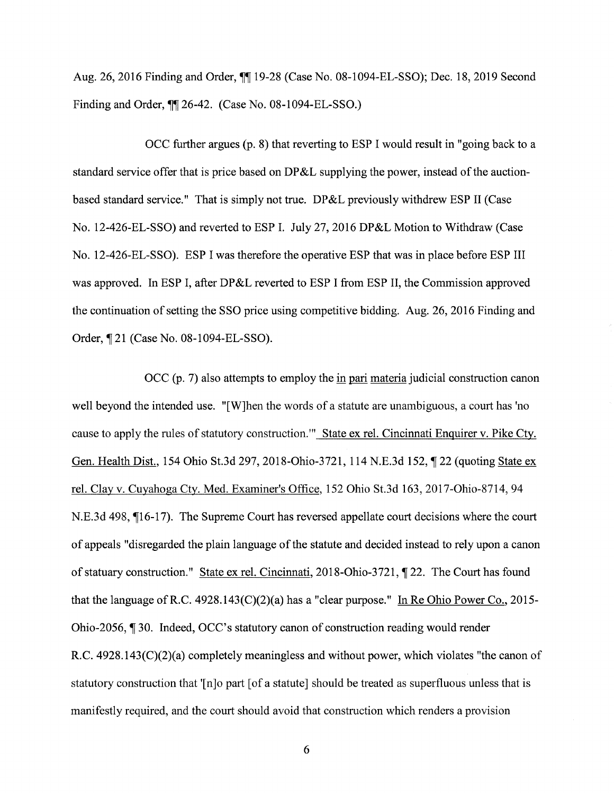Aug. 26, 2016 Finding and Order,  $\P\P$  19-28 (Case No. 08-1094-EL-SSO); Dec. 18, 2019 Second Finding and Order,  $\P$  26-42. (Case No. 08-1094-EL-SSO.)

OCC further argues (p. 8) that reverting to ESP I would result in "going back to a standard service offer that is price based on DP&L supplying the power, instead of the auctionbased standard service." That is simply not true. DP&L previously withdrew ESP II (Case No. 12-426-EL-SSO) and reverted to ESP I. July 27, 2016 DP&L Motion to Withdraw (Case No. 12-426-EL-SSO). ESP I was therefore the operative ESP that was in place before ESP III was approved. In ESP I, after DP&L reverted to ESP I from ESP II, the Commission approved the continuation of setting the SSO price using competitive bidding. Aug. 26, 2016 Finding and Order, ¶ 21 (Case No. 08-1094-EL-SSO).

 $OCC$  (p. 7) also attempts to employ the in pari materia judicial construction canon well beyond the intended use. "[W]hen the words of a statute are unambiguous, a court has 'no cause to apply the rules of statutory construction."" State ex rel. Cincinnati Enquirer v. Pike Cty. Gen. Health Dist., 154 Ohio St.3d 297, 2018-Ohio-3721, 114 N.E.3d 152, ¶ 22 (quoting State ex rel. Clay v. Cuyahoga Cty. Med. Examiner's Office, 152 Ohio St.3d 163, 2017-Ohio-8714, 94 N.E.3d 498, ¶16-17). The Supreme Court has reversed appellate court decisions where the court of appeals "disregarded the plain language of the statute and decided instead to rely upon a canon of statuary construction." State ex rel. Cincinnati, 2018-Ohio-3721, ¶ 22. The Court has found that the language of R.C. 4928.143(C)(2)(a) has a "clear purpose." In Re Ohio Power Co., 2015-Ohio-2056, ¶ 30. Indeed, OCC's statutory canon of construction reading would render R.C. 4928.143(C)(2)(a) completely meaningless and without power, which violates "the canon of statutory construction that '[n]o part [of a statute] should be treated as superfluous unless that is manifestly required, and the court should avoid that construction which renders a provision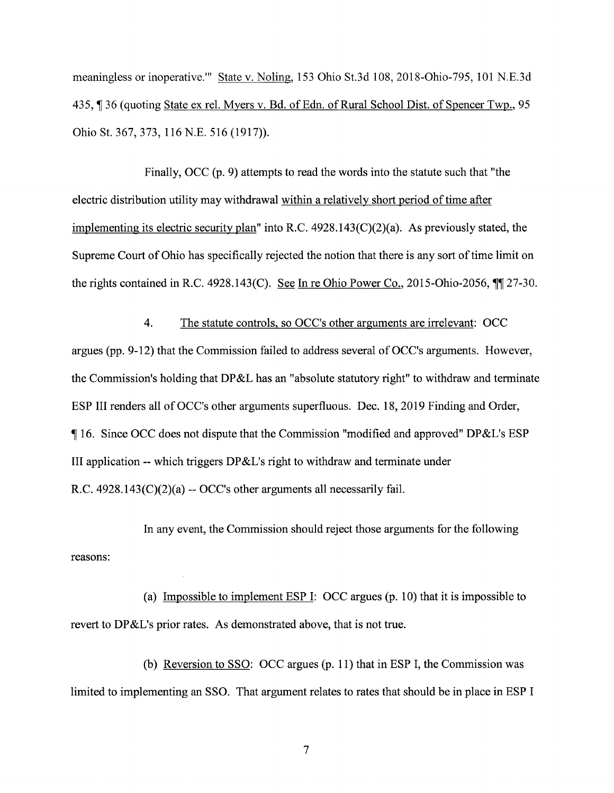meaningless or inoperative.'" State v. Noling, 153 Ohio St.3d 108, 2018-Ohio-795, 101 N.E.3d 435, ¶ 36 (quoting State ex rel. Myers v. Bd. of Edn. of Rural School Dist. of Spencer Twp., 95 Ohio St. 367, 373, 116 N.E. 516 (1917)).

Finally, OCC (p. 9) attempts to read the words into the statute such that "the electric distribution utility may withdrawal within a relatively short period of time after implementing its electric security plan" into R.C. 4928.143(C)(2)(a). As previously stated, the Supreme Court of Ohio has specifically rejected the notion that there is any sort of time limit on the rights contained in R.C. 4928.143(C). See In re Ohio Power Co., 2015-Ohio-2056,  $\P$  $\parallel$  27-30.

4. The statute controls, so OCC's other arguments are irrelevant: OCC argues (pp. 9-12) that the Commission failed to address several of OCC's arguments. However, the Commission's holding that DP&L has an "absolute statutory right" to withdraw and terminate ESP III renders all of OCC's other arguments superfluous. Dec. 18, 2019 Finding and Order, ¶ 16. Since OCC does not dispute that the Commission "modified and approved" DP&L's ESP III application -- which triggers DP&L's right to withdraw and terminate under R.C.  $4928.143(C)(2)(a) - OCC's other arguments all necessarily fail.$ 

reasons: In any event, the Commission should reject those arguments for the following

(a) Impossible to implement ESP I: OCC argues (p. 10) that it is impossible to revert to DP&L's prior rates. As demonstrated above, that is not true.

(b) Reversion to SSO: OCC argues (p. 11) that in ESP I, the Commission was limited to implementing an SSO. That argument relates to rates that should be in place in ESP I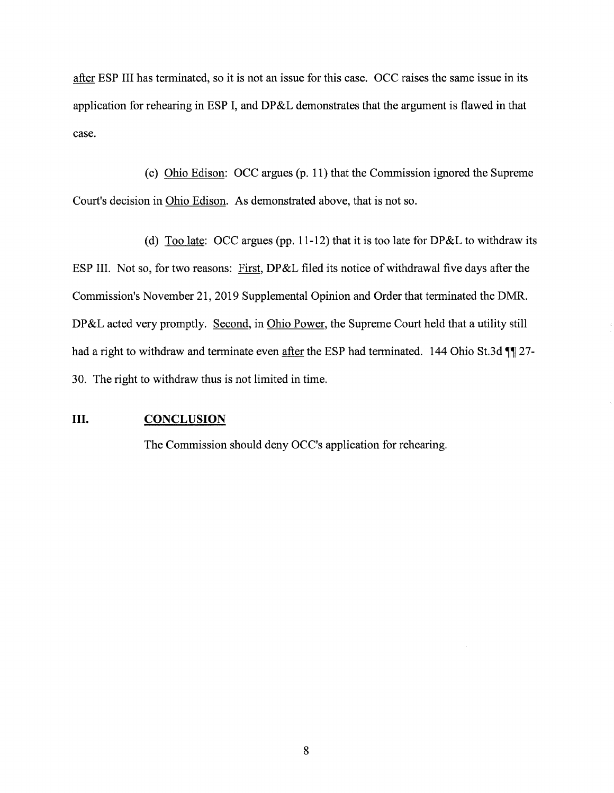after ESP III has terminated, so it is not an issue for this case. OCC raises the same issue in its application for rehearing in ESP I, and DP&L demonstrates that the argument is flawed in that case.

(c) Ohio Edison: OCC argues (p. 11) that the Commission ignored the Supreme Court's decision in Ohio Edison. As demonstrated above, that is not so.

(d) Too late: OCC argues (pp. 11-12) that it is too late for DP&L to withdraw its ESP III. Not so, for two reasons: First, DP&L filed its notice of withdrawal five days after the Commission's November 21, 2019 Supplemental Opinion and Order that terminated the DMR. DP&L acted very promptly. Second, in Ohio Power, the Supreme Court held that a utility still had a right to withdraw and terminate even after the ESP had terminated. 144 Ohio St.3d  $\P$  27-30. The right to withdraw thus is not limited in time.

#### III. CONCLUSION

The Commission should deny OCC's application for rehearing.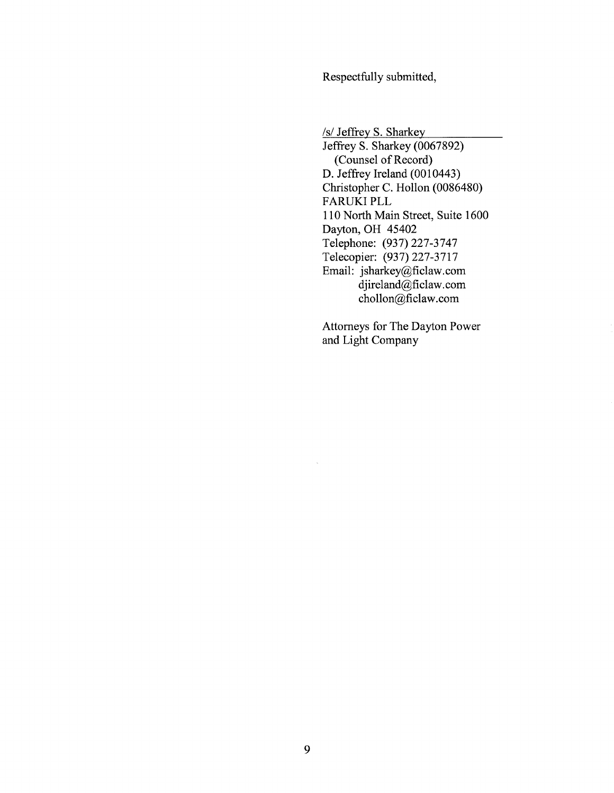Respectfully submitted,

/s/ Jeffrey S. Sharkey

Jeffrey S. Sharkey (0067892) (Counsel of Record) D. Jeffrey Ireland (0010443) Christopher C. Hollon (0086480) FARUKI PLL 110 North Main Street, Suite 1600 Dayton, OH 45402 Telephone: (937) 227-3747 Telecopier: (937) 227-3717 Email: jsharkey@ficlaw.com djireland@ficlaw.com chollon@ficlaw.com

Attorneys for The Dayton Power and Light Company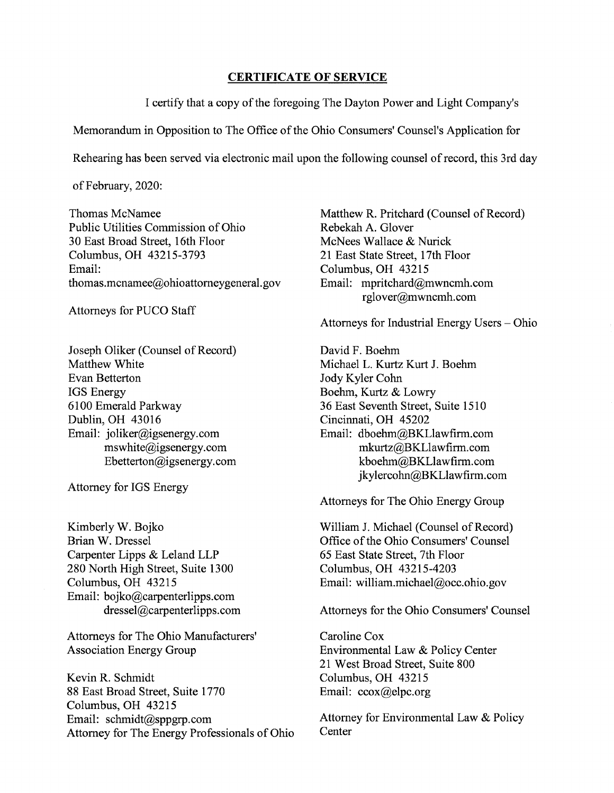#### CERTIFICATE OF SERVICE

Icertify that a copy of the foregoing The Dayton Power and Light Company's

Memorandum in Opposition to The Office of the Ohio Consumers' Counsel's Application for

Rehearing has been served via electronic mail upon the following counsel of record, this 3rd day

of February, 2020:

Public Utilities Commission of Ohio Rebekah A. Glover 30 East Broad Street, 16th Floor McNees Wallace & Nurick Columbus, OH 43215-3793 21 East State Street, 17th Floor Email: Columbus, OH 43215<br>thomas.mcnamee@ohioattorneygeneral.gov Email: mpritchard@mwncmh.com thomas.mcnamee@ohioattorneygeneral.gov

Attorneys for PUCO Staff

Joseph Oliker (Counsel of Record) Matthew White Evan Betterton IGS Energy 6100 Emerald Parkway Dublin, OH 43016 Email: joliker@igsenergy.com mswhite@igsenergy.com Ebetterton@igsenergy.com

Attorney for IGS Energy

Kimberly W. Bojko Brian W. Dressel Carpenter Lipps & Leland LLP 280 North High Street, Suite 1300 Columbus, OH 43215 Email: bojko@carpenterlipps.com dressel@carpenterlipps.com

Attorneys for The Ohio Manufacturers' Association Energy Group

Kevin R. Schmidt 88 East Broad Street, Suite 1770 Columbus, OH 43215 Email: schmidt@sppgrp.com Attorney for The Energy Professionals of Ohio

Thomas McNamee Matthew R. Pritchard (Counsel of Record) rglover@mwncmh.com

Attorneys for Industrial Energy Users — Ohio

David F. Boehm Michael L. Kurtz Kurt J. Boehm Jody Kyler Cohn Boehm, Kurtz & Lowry 36 East Seventh Street, Suite 1510 Cincinnati, OH 45202 Email: dboehm@BKLlawfirm.com mkurtz@BKLlawfirm.com kboehm@BKLlawfirm.com jkylercohn@BKLlawfirm.com

Attorneys for The Ohio Energy Group

William J. Michael (Counsel of Record) Office of the Ohio Consumers' Counsel 65 East State Street, 7th Floor Columbus, OH 43215-4203 Email: william.michael@occ.ohio.gov

Attorneys for the Ohio Consumers' Counsel

Caroline Cox Environmental Law & Policy Center 21 West Broad Street, Suite 800 Columbus, OH 43215 Email: ccox@elpc.org

Attorney for Environmental Law & Policy **Center**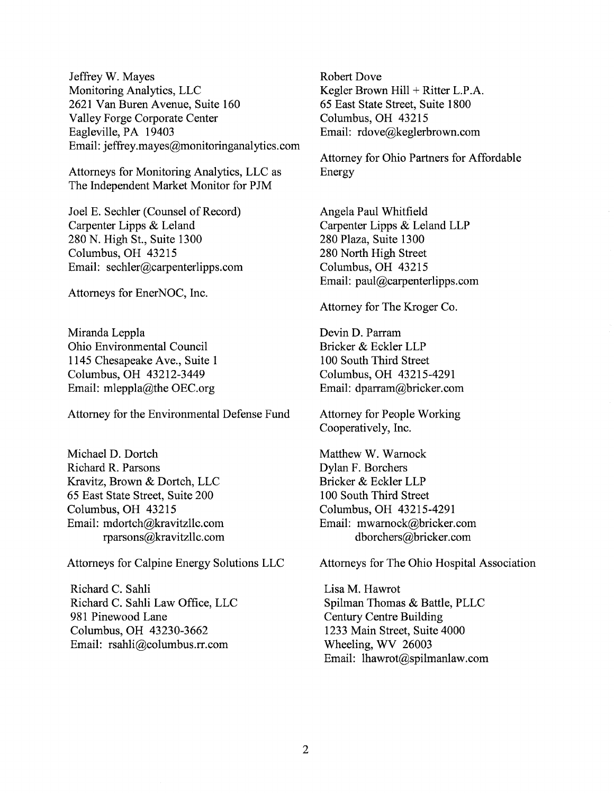Jeffrey W. Mayes Monitoring Analytics, LLC 2621 Van Buren Avenue, Suite 160 Valley Forge Corporate Center Eagleville, PA 19403 Email: jeffrey.mayes@monitoringanalytics.com

Attorneys for Monitoring Analytics, LLC as The Independent Market Monitor for PJM

Joel E. Sechler (Counsel of Record) Carpenter Lipps & Leland 280 N. High St., Suite 1300 Columbus, OH 43215 Email: sechler@carpenterlipps.com

Attorneys for EnerNOC, Inc.

Miranda Leppla Ohio Environmental Council 1145 Chesapeake Ave., Suite 1 Columbus, OH 43212-3449 Email: mleppla@the OEC.org

Attorney for the Environmental Defense Fund

Michael D. Dortch Richard R. Parsons Kravitz, Brown & Dortch, LLC 65 East State Street, Suite 200 Columbus, OH 43215 Email: mdortch@kravitzllc.com rparsons@kravitzl1c.com

Attorneys for Calpine Energy Solutions LLC

Richard C. Sahli Richard C. Sahli Law Office, LLC 981 Pinewood Lane Columbus, OH 43230-3662 Email: rsahli@columbus.rr.com

Robert Dove Kegler Brown Hill + Ritter L.P.A. 65 East State Street, Suite 1800 Columbus, OH 43215 Email: rdove@keglerbrown.com

Attorney for Ohio Partners for Affordable Energy

Angela Paul Whitfield Carpenter Lipps & Leland LLP 280 Plaza, Suite 1300 280 North High Street Columbus, OH 43215 Email: paul@carpenterlipps.com

Attorney for The Kroger Co.

Devin D. Parram Bricker & Eckler LLP 100 South Third Street Columbus, OH 43215-4291 Email: dparram@bricker.com

Attorney for People Working Cooperatively, Inc.

Matthew W. Warnock Dylan F. Borchers Bricker & Eckler LLP 100 South Third Street Columbus, OH 43215-4291 Email: mwarnock@bricker.com dborchers@bricker.com

Attorneys for The Ohio Hospital Association

Lisa M. Hawrot Spilman Thomas & Battle, PLLC Century Centre Building 1233 Main Street, Suite 4000 Wheeling, WV 26003 Email: lhawrot@spilmanlaw.com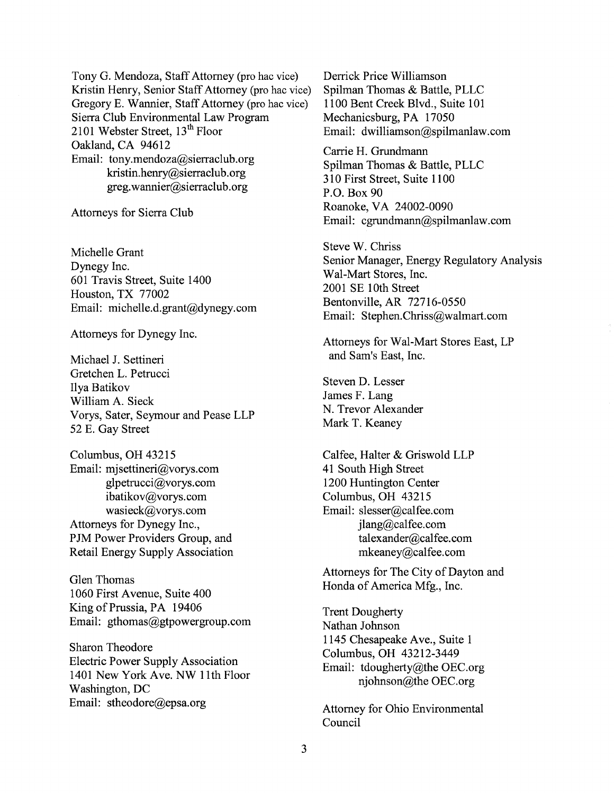Tony G. Mendoza, Staff Attorney (pro hac vice) Kristin Henry, Senior Staff Attorney (pro hac vice) Gregory E. Wannier, Staff Attorney (pro hac vice) Sierra Club Environmental Law Program 2101 Webster Street,  $13<sup>th</sup>$  Floor Oakland, CA 94612 Email: tony.mendoza@sierraclub.org kristin.henry@sierraclub.org greg.wannier@sierraclub.org

Attorneys for Sierra Club

Michelle Grant Dynegy Inc. 601 Travis Street, Suite 1400 Houston, TX 77002 Email: michelle.d.grant@dynegy.com

Attorneys for Dynegy Inc.

Michael J. Settineri Gretchen L. Petrucci Ilya Batikov William A. Sieck Vorys, Sater, Seymour and Pease LLP 52 E. Gay Street

Columbus, OH 43215 Email: mjsettineri@vorys.com glpetrucci@vorys.com ibatikov@vorys.com wasieck@vorys.com Attorneys for Dynegy Inc., PJM Power Providers Group, and Retail Energy Supply Association

Glen Thomas 1060 First Avenue, Suite 400 King of Prussia, PA 19406 Email: gthomas@gtpowergroup.com

Sharon Theodore Electric Power Supply Association 1401 New York Ave. NW 11th Floor Washington, DC Email: stheodore@epsa.org

Derrick Price Williamson Spilman Thomas & Battle, PLLC 1100 Bent Creek Blvd., Suite 101 Mechanicsburg, PA 17050 Email: dwilliamson@spilmanlaw.com

Carrie H. Grundmann Spilman Thomas & Battle, PLLC 310 First Street, Suite 1100 P.O. Box 90 Roanoke, VA 24002-0090 Email: cgrundmann@spilmanlaw.com

Steve W. Chriss Senior Manager, Energy Regulatory Analysis Wal-Mart Stores, Inc. 2001 SE 10th Street Bentonville, AR 72716-0550 Email: Stephen.Chriss@walmart.com

Attorneys for Wal-Mart Stores East, LP and Sam's East, Inc.

Steven D. Lesser James F. Lang N. Trevor Alexander Mark T. Keaney

Calfee, Halter & Griswold LLP 41 South High Street 1200 Huntington Center Columbus, OH 43215 Email: slesser@calfee.com jlang@calfee.com talexander@calfee.com mkeaney@calfee.com

Attorneys for The City of Dayton and Honda of America Mfg., Inc.

Trent Dougherty Nathan Johnson 1145 Chesapeake Ave., Suite 1 Columbus, OH 43212-3449 Email: tdougherty@the OEC.org njohnson@the OEC.org

Attorney for Ohio Environmental Council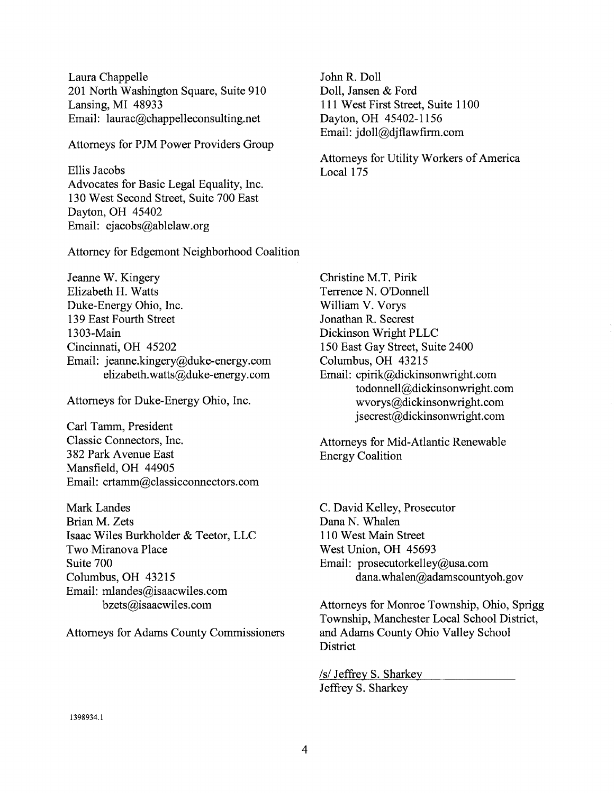Laura Chappelle 201 North Washington Square, Suite 910 Lansing, MI 48933 Email: laurac@chappelleconsulting.net

Attorneys for PJM Power Providers Group

Ellis Jacobs Advocates for Basic Legal Equality, Inc. 130 West Second Street, Suite 700 East Dayton, OH 45402 Email: ejacobs@ablelaw.org

Attorney for Edgemont Neighborhood Coalition

Jeanne W. Kingery Elizabeth H. Watts Duke-Energy Ohio, Inc. 139 East Fourth Street 1303-Main Cincinnati, OH 45202 Email: jeanne.kingery@duke-energy.com elizabeth.watts@duke-energy.com

Attorneys for Duke-Energy Ohio, Inc.

Carl Tamm, President Classic Connectors, Inc. 382 Park Avenue East Mansfield, OH 44905 Email: crtamm@classicconnectors.com

Mark Landes Brian M. Zets Isaac Wiles Burkholder & Teetor, LLC Two Miranova Place Suite 700 Columbus, OH 43215 Email: mlandes@isaacwiles.com bzets@isaacwiles.com

Attorneys for Adams County Commissioners

John R. Doll Doll, Jansen & Ford 111 West First Street, Suite 1100 Dayton, OH 45402-1156 Email: jdoll@djflawfirm.com

Attorneys for Utility Workers of America Local 175

Christine M.T. Pink Terrence N. O'Donnell William V. Vorys Jonathan R. Secrest Dickinson Wright PLLC 150 East Gay Street, Suite 2400 Columbus, OH 43215 Email: cpirik@dickinsonwright.com todonnell@dickinsonwright.com wvorys@dickinsonwright.com jsecrest@dickinsonwright.com

Attorneys for Mid-Atlantic Renewable Energy Coalition

C. David Kelley, Prosecutor Dana N. Whalen 110 West Main Street West Union, OH 45693 Email: prosecutorkelley@usa.com dana.whalen@adamscountyoh.gov

Attorneys for Monroe Township, Ohio, Sprigg Township, Manchester Local School District, and Adams County Ohio Valley School **District** 

/s/ Jeffrey S. Sharkey Jeffrey S. Sharkey